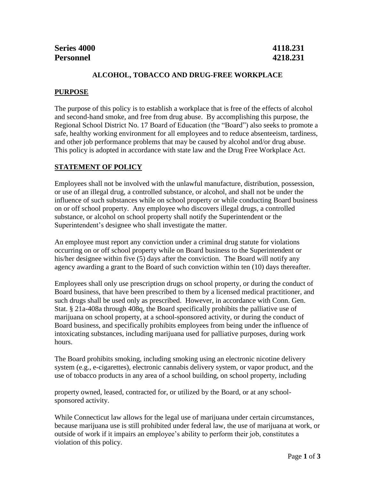| Series 4000      | 4118.231 |
|------------------|----------|
| <b>Personnel</b> | 4218.231 |

## **ALCOHOL, TOBACCO AND DRUG-FREE WORKPLACE**

### **PURPOSE**

The purpose of this policy is to establish a workplace that is free of the effects of alcohol and second-hand smoke, and free from drug abuse. By accomplishing this purpose, the Regional School District No. 17 Board of Education (the "Board") also seeks to promote a safe, healthy working environment for all employees and to reduce absenteeism, tardiness, and other job performance problems that may be caused by alcohol and/or drug abuse. This policy is adopted in accordance with state law and the Drug Free Workplace Act.

### **STATEMENT OF POLICY**

Employees shall not be involved with the unlawful manufacture, distribution, possession, or use of an illegal drug, a controlled substance, or alcohol, and shall not be under the influence of such substances while on school property or while conducting Board business on or off school property. Any employee who discovers illegal drugs, a controlled substance, or alcohol on school property shall notify the Superintendent or the Superintendent's designee who shall investigate the matter.

An employee must report any conviction under a criminal drug statute for violations occurring on or off school property while on Board business to the Superintendent or his/her designee within five (5) days after the conviction. The Board will notify any agency awarding a grant to the Board of such conviction within ten (10) days thereafter.

Employees shall only use prescription drugs on school property, or during the conduct of Board business, that have been prescribed to them by a licensed medical practitioner, and such drugs shall be used only as prescribed. However, in accordance with Conn. Gen. Stat. § 21a-408a through 408q, the Board specifically prohibits the palliative use of marijuana on school property, at a school-sponsored activity, or during the conduct of Board business, and specifically prohibits employees from being under the influence of intoxicating substances, including marijuana used for palliative purposes, during work hours.

The Board prohibits smoking, including smoking using an electronic nicotine delivery system (e.g., e-cigarettes), electronic cannabis delivery system, or vapor product, and the use of tobacco products in any area of a school building, on school property, including

property owned, leased, contracted for, or utilized by the Board, or at any schoolsponsored activity.

While Connecticut law allows for the legal use of marijuana under certain circumstances, because marijuana use is still prohibited under federal law, the use of marijuana at work, or outside of work if it impairs an employee's ability to perform their job, constitutes a violation of this policy.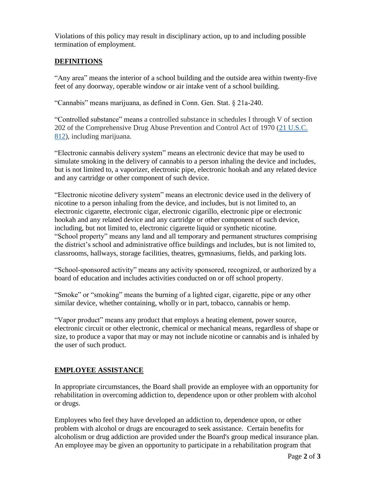Violations of this policy may result in disciplinary action, up to and including possible termination of employment.

# **DEFINITIONS**

"Any area" means the interior of a school building and the outside area within twenty-five feet of any doorway, operable window or air intake vent of a school building.

"Cannabis" means marijuana, as defined in Conn. Gen. Stat. § 21a-240.

"Controlled substance" means a controlled substance in schedules I through V of section 202 of the Comprehensive Drug Abuse Prevention and Control Act of 1970 [\(21 U.S.C.](https://1.next.westlaw.com/Link/Document/FullText?findType=L&pubNum=1000546&cite=21USCAS812&originatingDoc=ND92D55A05C7911E08B93E486F00F598E&refType=LQ&originationContext=document&transitionType=DocumentItem&ppcid=c22a1ed482a84e649d2f87f1fdeaee98&contextData=(sc.Document))  [812\)](https://1.next.westlaw.com/Link/Document/FullText?findType=L&pubNum=1000546&cite=21USCAS812&originatingDoc=ND92D55A05C7911E08B93E486F00F598E&refType=LQ&originationContext=document&transitionType=DocumentItem&ppcid=c22a1ed482a84e649d2f87f1fdeaee98&contextData=(sc.Document)), including marijuana.

"Electronic cannabis delivery system" means an electronic device that may be used to simulate smoking in the delivery of cannabis to a person inhaling the device and includes, but is not limited to, a vaporizer, electronic pipe, electronic hookah and any related device and any cartridge or other component of such device.

"Electronic nicotine delivery system" means an electronic device used in the delivery of nicotine to a person inhaling from the device, and includes, but is not limited to, an electronic cigarette, electronic cigar, electronic cigarillo, electronic pipe or electronic hookah and any related device and any cartridge or other component of such device, including, but not limited to, electronic cigarette liquid or synthetic nicotine. "School property" means any land and all temporary and permanent structures comprising the district's school and administrative office buildings and includes, but is not limited to, classrooms, hallways, storage facilities, theatres, gymnasiums, fields, and parking lots.

"School-sponsored activity" means any activity sponsored, recognized, or authorized by a board of education and includes activities conducted on or off school property.

"Smoke" or "smoking" means the burning of a lighted cigar, cigarette, pipe or any other similar device, whether containing, wholly or in part, tobacco, cannabis or hemp.

"Vapor product" means any product that employs a heating element, power source, electronic circuit or other electronic, chemical or mechanical means, regardless of shape or size, to produce a vapor that may or may not include nicotine or cannabis and is inhaled by the user of such product.

### **EMPLOYEE ASSISTANCE**

In appropriate circumstances, the Board shall provide an employee with an opportunity for rehabilitation in overcoming addiction to, dependence upon or other problem with alcohol or drugs.

Employees who feel they have developed an addiction to, dependence upon, or other problem with alcohol or drugs are encouraged to seek assistance. Certain benefits for alcoholism or drug addiction are provided under the Board's group medical insurance plan. An employee may be given an opportunity to participate in a rehabilitation program that